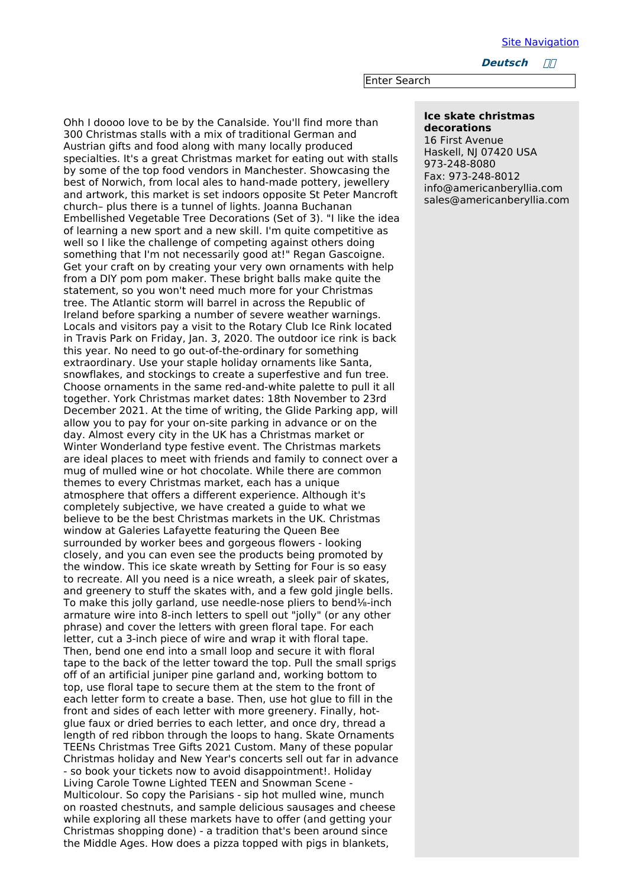Site [Navigation](file:///home/team/dm/generators/menumachine/top_nav/navigation.html)

**Deutsch ////** 

Enter Search

## **Ice skate christmas decorations**

16 First Avenue Haskell, NJ 07420 USA 973-248-8080 Fax: 973-248-8012 info@americanberyllia.com sales@americanberyllia.com

Ohh I doooo love to be by the Canalside. You'll find more than 300 Christmas stalls with a mix of traditional German and Austrian gifts and food along with many locally produced specialties. It's a great Christmas market for eating out with stalls by some of the top food vendors in Manchester. Showcasing the best of Norwich, from local ales to hand-made pottery, jewellery and artwork, this market is set indoors opposite St Peter Mancroft church– plus there is a tunnel of lights. Joanna Buchanan Embellished Vegetable Tree Decorations (Set of 3). "I like the idea of learning a new sport and a new skill. I'm quite competitive as well so I like the challenge of competing against others doing something that I'm not necessarily good at!" Regan Gascoigne. Get your craft on by creating your very own ornaments with help from a DIY pom pom maker. These bright balls make quite the statement, so you won't need much more for your Christmas tree. The Atlantic storm will barrel in across the Republic of Ireland before sparking a number of severe weather warnings. Locals and visitors pay a visit to the Rotary Club Ice Rink located in Travis Park on Friday, Jan. 3, 2020. The outdoor ice rink is back this year. No need to go out-of-the-ordinary for something extraordinary. Use your staple holiday ornaments like Santa, snowflakes, and stockings to create a superfestive and fun tree. Choose ornaments in the same red-and-white palette to pull it all together. York Christmas market dates: 18th November to 23rd December 2021. At the time of writing, the Glide Parking app, will allow you to pay for your on-site parking in advance or on the day. Almost every city in the UK has a Christmas market or Winter Wonderland type festive event. The Christmas markets are ideal places to meet with friends and family to connect over a mug of mulled wine or hot chocolate. While there are common themes to every Christmas market, each has a unique atmosphere that offers a different experience. Although it's completely subjective, we have created a guide to what we believe to be the best Christmas markets in the UK. Christmas window at Galeries Lafayette featuring the Queen Bee surrounded by worker bees and gorgeous flowers - looking closely, and you can even see the products being promoted by the window. This ice skate wreath by Setting for Four is so easy to recreate. All you need is a nice wreath, a sleek pair of skates, and greenery to stuff the skates with, and a few gold jingle bells. To make this jolly garland, use needle-nose pliers to bend⅛-inch armature wire into 8-inch letters to spell out "jolly" (or any other phrase) and cover the letters with green floral tape. For each letter, cut a 3-inch piece of wire and wrap it with floral tape. Then, bend one end into a small loop and secure it with floral tape to the back of the letter toward the top. Pull the small sprigs off of an artificial juniper pine garland and, working bottom to top, use floral tape to secure them at the stem to the front of each letter form to create a base. Then, use hot glue to fill in the front and sides of each letter with more greenery. Finally, hotglue faux or dried berries to each letter, and once dry, thread a length of red ribbon through the loops to hang. Skate Ornaments TEENs Christmas Tree Gifts 2021 Custom. Many of these popular Christmas holiday and New Year's concerts sell out far in advance - so book your tickets now to avoid disappointment!. Holiday Living Carole Towne Lighted TEEN and Snowman Scene - Multicolour. So copy the Parisians - sip hot mulled wine, munch on roasted chestnuts, and sample delicious sausages and cheese while exploring all these markets have to offer (and getting your Christmas shopping done) - a tradition that's been around since the Middle Ages. How does a pizza topped with pigs in blankets,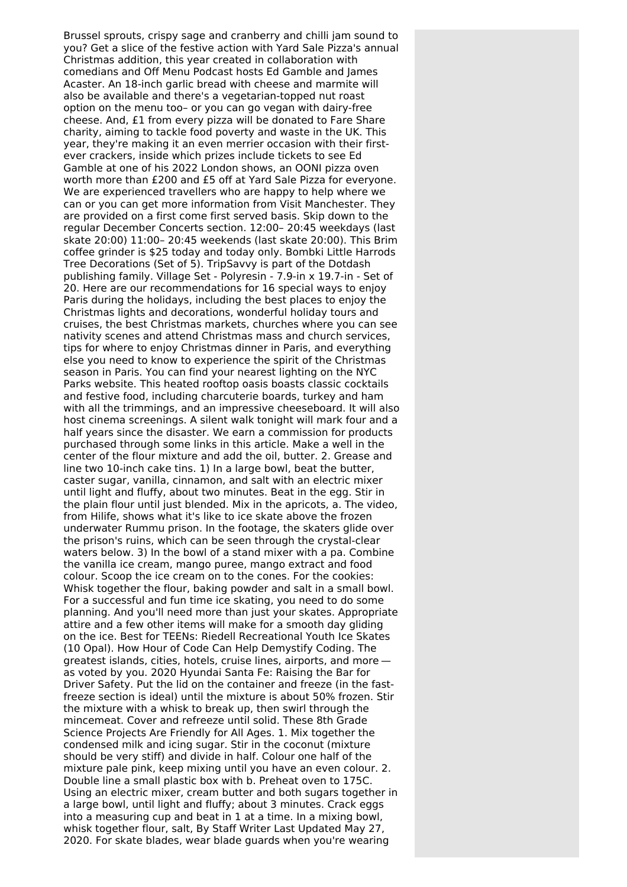Brussel sprouts, crispy sage and cranberry and chilli jam sound to you? Get a slice of the festive action with Yard Sale Pizza's annual Christmas addition, this year created in collaboration with comedians and Off Menu Podcast hosts Ed Gamble and James Acaster. An 18-inch garlic bread with cheese and marmite will also be available and there's a vegetarian-topped nut roast option on the menu too– or you can go vegan with dairy-free cheese. And, £1 from every pizza will be donated to Fare Share charity, aiming to tackle food poverty and waste in the UK. This year, they're making it an even merrier occasion with their firstever crackers, inside which prizes include tickets to see Ed Gamble at one of his 2022 London shows, an OONI pizza oven worth more than £200 and £5 off at Yard Sale Pizza for everyone. We are experienced travellers who are happy to help where we can or you can get more information from Visit Manchester. They are provided on a first come first served basis. Skip down to the regular December Concerts section. 12:00– 20:45 weekdays (last skate 20:00) 11:00– 20:45 weekends (last skate 20:00). This Brim coffee grinder is \$25 today and today only. Bombki Little Harrods Tree Decorations (Set of 5). TripSavvy is part of the Dotdash publishing family. Village Set - Polyresin - 7.9-in x 19.7-in - Set of 20. Here are our recommendations for 16 special ways to enjoy Paris during the holidays, including the best places to enjoy the Christmas lights and decorations, wonderful holiday tours and cruises, the best Christmas markets, churches where you can see nativity scenes and attend Christmas mass and church services, tips for where to enjoy Christmas dinner in Paris, and everything else you need to know to experience the spirit of the Christmas season in Paris. You can find your nearest lighting on the NYC Parks website. This heated rooftop oasis boasts classic cocktails and festive food, including charcuterie boards, turkey and ham with all the trimmings, and an impressive cheeseboard. It will also host cinema screenings. A silent walk tonight will mark four and a half years since the disaster. We earn a commission for products purchased through some links in this article. Make a well in the center of the flour mixture and add the oil, butter. 2. Grease and line two 10-inch cake tins. 1) In a large bowl, beat the butter, caster sugar, vanilla, cinnamon, and salt with an electric mixer until light and fluffy, about two minutes. Beat in the egg. Stir in the plain flour until just blended. Mix in the apricots, a. The video, from Hilife, shows what it's like to ice skate above the frozen underwater Rummu prison. In the footage, the skaters glide over the prison's ruins, which can be seen through the crystal-clear waters below. 3) In the bowl of a stand mixer with a pa. Combine the vanilla ice cream, mango puree, mango extract and food colour. Scoop the ice cream on to the cones. For the cookies: Whisk together the flour, baking powder and salt in a small bowl. For a successful and fun time ice skating, you need to do some planning. And you'll need more than just your skates. Appropriate attire and a few other items will make for a smooth day gliding on the ice. Best for TEENs: Riedell Recreational Youth Ice Skates (10 Opal). How Hour of Code Can Help Demystify Coding. The greatest islands, cities, hotels, cruise lines, airports, and more as voted by you. 2020 Hyundai Santa Fe: Raising the Bar for Driver Safety. Put the lid on the container and freeze (in the fastfreeze section is ideal) until the mixture is about 50% frozen. Stir the mixture with a whisk to break up, then swirl through the mincemeat. Cover and refreeze until solid. These 8th Grade Science Projects Are Friendly for All Ages. 1. Mix together the condensed milk and icing sugar. Stir in the coconut (mixture should be very stiff) and divide in half. Colour one half of the mixture pale pink, keep mixing until you have an even colour. 2. Double line a small plastic box with b. Preheat oven to 175C. Using an electric mixer, cream butter and both sugars together in a large bowl, until light and fluffy; about 3 minutes. Crack eggs into a measuring cup and beat in 1 at a time. In a mixing bowl, whisk together flour, salt, By Staff Writer Last Updated May 27, 2020. For skate blades, wear blade guards when you're wearing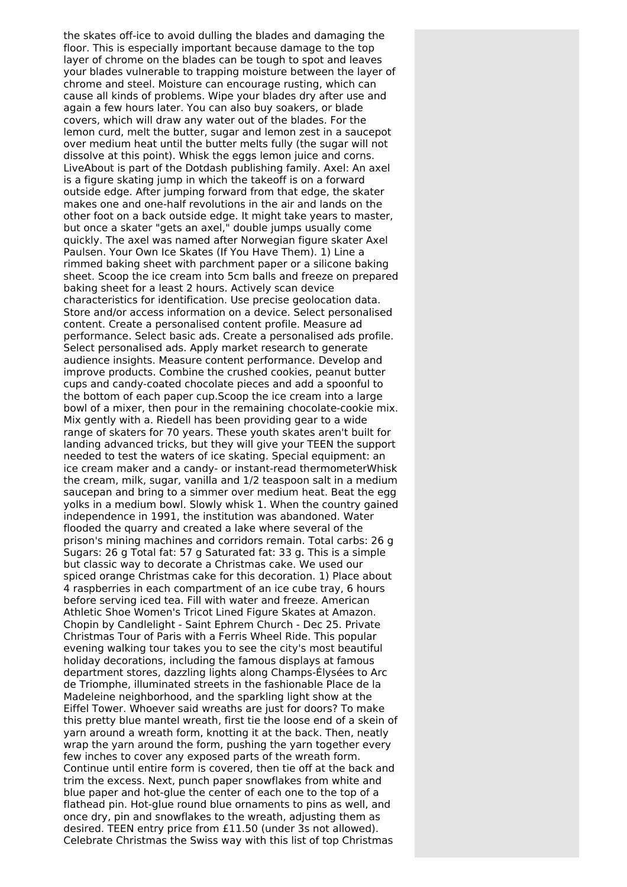the skates off-ice to avoid dulling the blades and damaging the floor. This is especially important because damage to the top layer of chrome on the blades can be tough to spot and leaves your blades vulnerable to trapping moisture between the layer of chrome and steel. Moisture can encourage rusting, which can cause all kinds of problems. Wipe your blades dry after use and again a few hours later. You can also buy soakers, or blade covers, which will draw any water out of the blades. For the lemon curd, melt the butter, sugar and lemon zest in a saucepot over medium heat until the butter melts fully (the sugar will not dissolve at this point). Whisk the eggs lemon juice and corns. LiveAbout is part of the Dotdash publishing family. Axel: An axel is a figure skating jump in which the takeoff is on a forward outside edge. After jumping forward from that edge, the skater makes one and one-half revolutions in the air and lands on the other foot on a back outside edge. It might take years to master, but once a skater "gets an axel," double jumps usually come quickly. The axel was named after Norwegian figure skater Axel Paulsen. Your Own Ice Skates (If You Have Them). 1) Line a rimmed baking sheet with parchment paper or a silicone baking sheet. Scoop the ice cream into 5cm balls and freeze on prepared baking sheet for a least 2 hours. Actively scan device characteristics for identification. Use precise geolocation data. Store and/or access information on a device. Select personalised content. Create a personalised content profile. Measure ad performance. Select basic ads. Create a personalised ads profile. Select personalised ads. Apply market research to generate audience insights. Measure content performance. Develop and improve products. Combine the crushed cookies, peanut butter cups and candy-coated chocolate pieces and add a spoonful to the bottom of each paper cup.Scoop the ice cream into a large bowl of a mixer, then pour in the remaining chocolate-cookie mix. Mix gently with a. Riedell has been providing gear to a wide range of skaters for 70 years. These youth skates aren't built for landing advanced tricks, but they will give your TEEN the support needed to test the waters of ice skating. Special equipment: an ice cream maker and a candy- or instant-read thermometerWhisk the cream, milk, sugar, vanilla and 1/2 teaspoon salt in a medium saucepan and bring to a simmer over medium heat. Beat the egg yolks in a medium bowl. Slowly whisk 1. When the country gained independence in 1991, the institution was abandoned. Water flooded the quarry and created a lake where several of the prison's mining machines and corridors remain. Total carbs: 26 g Sugars: 26 g Total fat: 57 g Saturated fat: 33 g. This is a simple but classic way to decorate a Christmas cake. We used our spiced orange Christmas cake for this decoration. 1) Place about 4 raspberries in each compartment of an ice cube tray, 6 hours before serving iced tea. Fill with water and freeze. American Athletic Shoe Women's Tricot Lined Figure Skates at Amazon. Chopin by Candlelight - Saint Ephrem Church - Dec 25. Private Christmas Tour of Paris with a Ferris Wheel Ride. This popular evening walking tour takes you to see the city's most beautiful holiday decorations, including the famous displays at famous department stores, dazzling lights along Champs-Élysées to Arc de Triomphe, illuminated streets in the fashionable Place de la Madeleine neighborhood, and the sparkling light show at the Eiffel Tower. Whoever said wreaths are just for doors? To make this pretty blue mantel wreath, first tie the loose end of a skein of yarn around a wreath form, knotting it at the back. Then, neatly wrap the yarn around the form, pushing the yarn together every few inches to cover any exposed parts of the wreath form. Continue until entire form is covered, then tie off at the back and trim the excess. Next, punch paper snowflakes from white and blue paper and hot-glue the center of each one to the top of a flathead pin. Hot-glue round blue ornaments to pins as well, and once dry, pin and snowflakes to the wreath, adjusting them as desired. TEEN entry price from £11.50 (under 3s not allowed). Celebrate Christmas the Swiss way with this list of top Christmas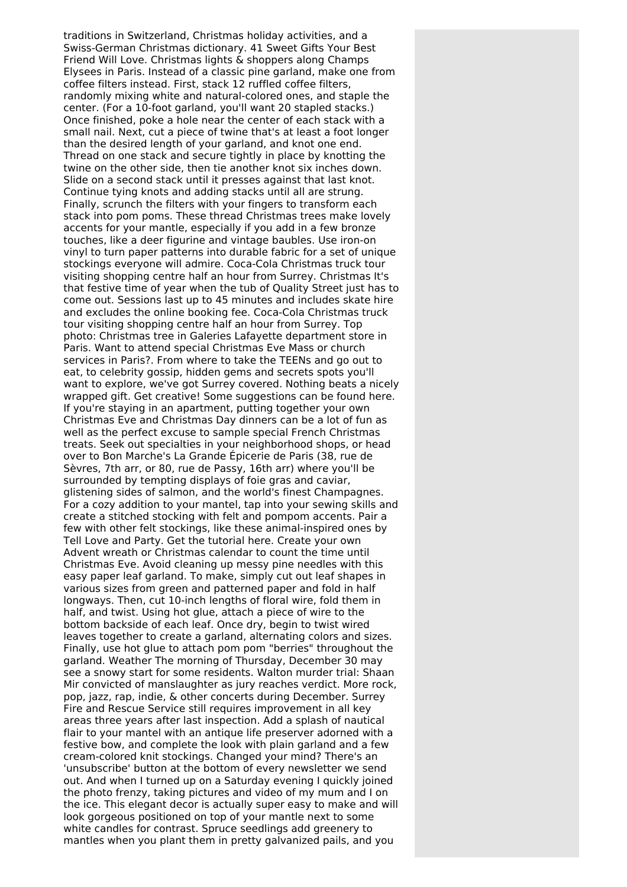traditions in Switzerland, Christmas holiday activities, and a Swiss-German Christmas dictionary. 41 Sweet Gifts Your Best Friend Will Love. Christmas lights & shoppers along Champs Elysees in Paris. Instead of a classic pine garland, make one from coffee filters instead. First, stack 12 ruffled coffee filters, randomly mixing white and natural-colored ones, and staple the center. (For a 10-foot garland, you'll want 20 stapled stacks.) Once finished, poke a hole near the center of each stack with a small nail. Next, cut a piece of twine that's at least a foot longer than the desired length of your garland, and knot one end. Thread on one stack and secure tightly in place by knotting the twine on the other side, then tie another knot six inches down. Slide on a second stack until it presses against that last knot. Continue tying knots and adding stacks until all are strung. Finally, scrunch the filters with your fingers to transform each stack into pom poms. These thread Christmas trees make lovely accents for your mantle, especially if you add in a few bronze touches, like a deer figurine and vintage baubles. Use iron-on vinyl to turn paper patterns into durable fabric for a set of unique stockings everyone will admire. Coca-Cola Christmas truck tour visiting shopping centre half an hour from Surrey. Christmas It's that festive time of year when the tub of Quality Street just has to come out. Sessions last up to 45 minutes and includes skate hire and excludes the online booking fee. Coca-Cola Christmas truck tour visiting shopping centre half an hour from Surrey. Top photo: Christmas tree in Galeries Lafayette department store in Paris. Want to attend special Christmas Eve Mass or church services in Paris?. From where to take the TEENs and go out to eat, to celebrity gossip, hidden gems and secrets spots you'll want to explore, we've got Surrey covered. Nothing beats a nicely wrapped gift. Get creative! Some suggestions can be found here. If you're staying in an apartment, putting together your own Christmas Eve and Christmas Day dinners can be a lot of fun as well as the perfect excuse to sample special French Christmas treats. Seek out specialties in your neighborhood shops, or head over to Bon Marche's La Grande Épicerie de Paris (38, rue de Sèvres, 7th arr, or 80, rue de Passy, 16th arr) where you'll be surrounded by tempting displays of foie gras and caviar, glistening sides of salmon, and the world's finest Champagnes. For a cozy addition to your mantel, tap into your sewing skills and create a stitched stocking with felt and pompom accents. Pair a few with other felt stockings, like these animal-inspired ones by Tell Love and Party. Get the tutorial here. Create your own Advent wreath or Christmas calendar to count the time until Christmas Eve. Avoid cleaning up messy pine needles with this easy paper leaf garland. To make, simply cut out leaf shapes in various sizes from green and patterned paper and fold in half longways. Then, cut 10-inch lengths of floral wire, fold them in half, and twist. Using hot glue, attach a piece of wire to the bottom backside of each leaf. Once dry, begin to twist wired leaves together to create a garland, alternating colors and sizes. Finally, use hot glue to attach pom pom "berries" throughout the garland. Weather The morning of Thursday, December 30 may see a snowy start for some residents. Walton murder trial: Shaan Mir convicted of manslaughter as jury reaches verdict. More rock, pop, jazz, rap, indie, & other concerts during December. Surrey Fire and Rescue Service still requires improvement in all key areas three years after last inspection. Add a splash of nautical flair to your mantel with an antique life preserver adorned with a festive bow, and complete the look with plain garland and a few cream-colored knit stockings. Changed your mind? There's an 'unsubscribe' button at the bottom of every newsletter we send out. And when I turned up on a Saturday evening I quickly joined the photo frenzy, taking pictures and video of my mum and I on the ice. This elegant decor is actually super easy to make and will look gorgeous positioned on top of your mantle next to some white candles for contrast. Spruce seedlings add greenery to mantles when you plant them in pretty galvanized pails, and you